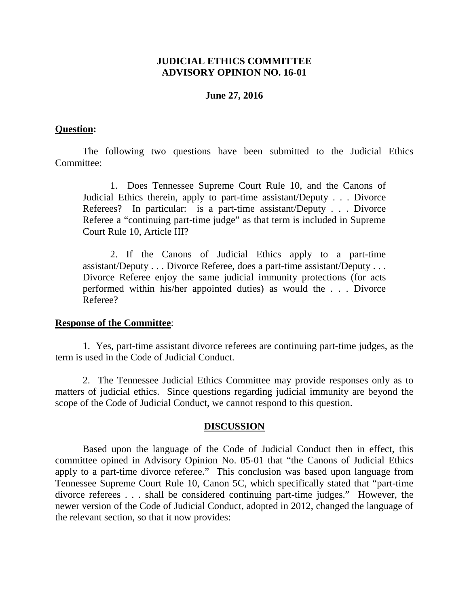# **JUDICIAL ETHICS COMMITTEE ADVISORY OPINION NO. 16-01**

### **June 27, 2016**

### **Question:**

The following two questions have been submitted to the Judicial Ethics Committee:

1. Does Tennessee Supreme Court Rule 10, and the Canons of Judicial Ethics therein, apply to part-time assistant/Deputy . . . Divorce Referees? In particular: is a part-time assistant/Deputy . . . Divorce Referee a "continuing part-time judge" as that term is included in Supreme Court Rule 10, Article III?

2. If the Canons of Judicial Ethics apply to a part-time assistant/Deputy . . . Divorce Referee, does a part-time assistant/Deputy . . . Divorce Referee enjoy the same judicial immunity protections (for acts performed within his/her appointed duties) as would the . . . Divorce Referee?

#### **Response of the Committee**:

1. Yes, part-time assistant divorce referees are continuing part-time judges, as the term is used in the Code of Judicial Conduct.

2. The Tennessee Judicial Ethics Committee may provide responses only as to matters of judicial ethics. Since questions regarding judicial immunity are beyond the scope of the Code of Judicial Conduct, we cannot respond to this question.

## **DISCUSSION**

Based upon the language of the Code of Judicial Conduct then in effect, this committee opined in Advisory Opinion No. 05-01 that "the Canons of Judicial Ethics apply to a part-time divorce referee." This conclusion was based upon language from Tennessee Supreme Court Rule 10, Canon 5C, which specifically stated that "part-time divorce referees . . . shall be considered continuing part-time judges." However, the newer version of the Code of Judicial Conduct, adopted in 2012, changed the language of the relevant section, so that it now provides: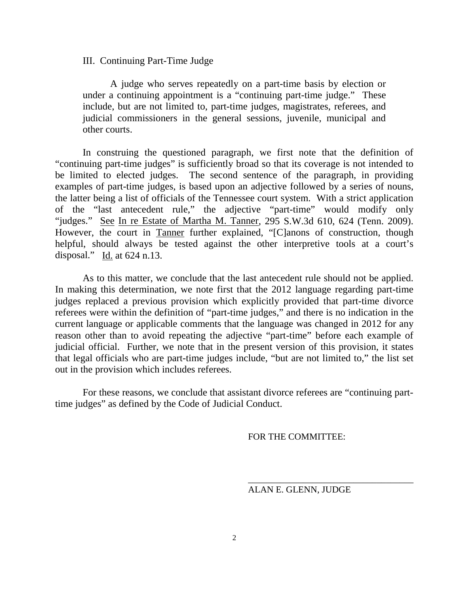#### III. Continuing Part-Time Judge

A judge who serves repeatedly on a part-time basis by election or under a continuing appointment is a "continuing part-time judge." These include, but are not limited to, part-time judges, magistrates, referees, and judicial commissioners in the general sessions, juvenile, municipal and other courts.

In construing the questioned paragraph, we first note that the definition of "continuing part-time judges" is sufficiently broad so that its coverage is not intended to be limited to elected judges. The second sentence of the paragraph, in providing examples of part-time judges, is based upon an adjective followed by a series of nouns, the latter being a list of officials of the Tennessee court system. With a strict application of the "last antecedent rule," the adjective "part-time" would modify only "judges." See In re Estate of Martha M. Tanner, 295 S.W.3d 610, 624 (Tenn. 2009). However, the court in Tanner further explained, "[C]anons of construction, though helpful, should always be tested against the other interpretive tools at a court's disposal." Id. at  $624$  n.13.

As to this matter, we conclude that the last antecedent rule should not be applied. In making this determination, we note first that the 2012 language regarding part-time judges replaced a previous provision which explicitly provided that part-time divorce referees were within the definition of "part-time judges," and there is no indication in the current language or applicable comments that the language was changed in 2012 for any reason other than to avoid repeating the adjective "part-time" before each example of judicial official. Further, we note that in the present version of this provision, it states that legal officials who are part-time judges include, "but are not limited to," the list set out in the provision which includes referees.

For these reasons, we conclude that assistant divorce referees are "continuing parttime judges" as defined by the Code of Judicial Conduct.

FOR THE COMMITTEE:

ALAN E. GLENN, JUDGE

\_\_\_\_\_\_\_\_\_\_\_\_\_\_\_\_\_\_\_\_\_\_\_\_\_\_\_\_\_\_\_\_\_\_\_\_